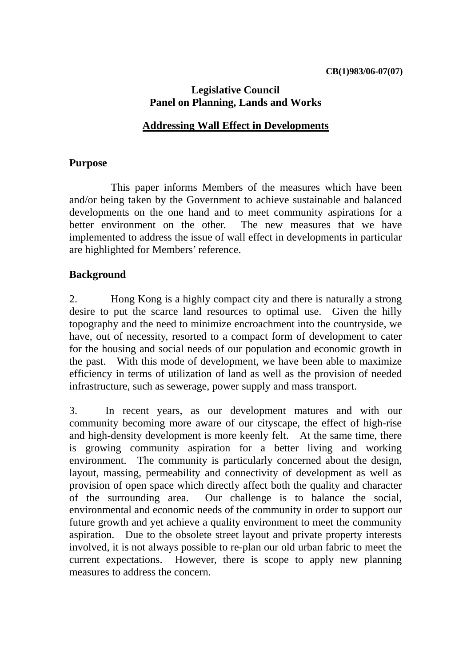## **Legislative Council Panel on Planning, Lands and Works**

#### **Addressing Wall Effect in Developments**

### **Purpose**

 This paper informs Members of the measures which have been and/or being taken by the Government to achieve sustainable and balanced developments on the one hand and to meet community aspirations for a better environment on the other. The new measures that we have implemented to address the issue of wall effect in developments in particular are highlighted for Members' reference.

### **Background**

2. Hong Kong is a highly compact city and there is naturally a strong desire to put the scarce land resources to optimal use. Given the hilly topography and the need to minimize encroachment into the countryside, we have, out of necessity, resorted to a compact form of development to cater for the housing and social needs of our population and economic growth in the past. With this mode of development, we have been able to maximize efficiency in terms of utilization of land as well as the provision of needed infrastructure, such as sewerage, power supply and mass transport.

3. In recent years, as our development matures and with our community becoming more aware of our cityscape, the effect of high-rise and high-density development is more keenly felt. At the same time, there is growing community aspiration for a better living and working environment. The community is particularly concerned about the design, layout, massing, permeability and connectivity of development as well as provision of open space which directly affect both the quality and character of the surrounding area. Our challenge is to balance the social, environmental and economic needs of the community in order to support our future growth and yet achieve a quality environment to meet the community aspiration. Due to the obsolete street layout and private property interests involved, it is not always possible to re-plan our old urban fabric to meet the current expectations. However, there is scope to apply new planning measures to address the concern.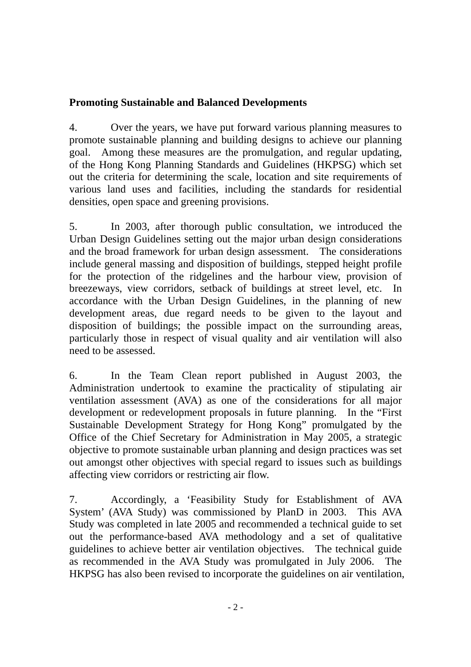# **Promoting Sustainable and Balanced Developments**

4. Over the years, we have put forward various planning measures to promote sustainable planning and building designs to achieve our planning goal. Among these measures are the promulgation, and regular updating, of the Hong Kong Planning Standards and Guidelines (HKPSG) which set out the criteria for determining the scale, location and site requirements of various land uses and facilities, including the standards for residential densities, open space and greening provisions.

5. In 2003, after thorough public consultation, we introduced the Urban Design Guidelines setting out the major urban design considerations and the broad framework for urban design assessment. The considerations include general massing and disposition of buildings, stepped height profile for the protection of the ridgelines and the harbour view, provision of breezeways, view corridors, setback of buildings at street level, etc. In accordance with the Urban Design Guidelines, in the planning of new development areas, due regard needs to be given to the layout and disposition of buildings; the possible impact on the surrounding areas, particularly those in respect of visual quality and air ventilation will also need to be assessed.

6. In the Team Clean report published in August 2003, the Administration undertook to examine the practicality of stipulating air ventilation assessment (AVA) as one of the considerations for all major development or redevelopment proposals in future planning. In the "First Sustainable Development Strategy for Hong Kong" promulgated by the Office of the Chief Secretary for Administration in May 2005, a strategic objective to promote sustainable urban planning and design practices was set out amongst other objectives with special regard to issues such as buildings affecting view corridors or restricting air flow.

7. Accordingly, a 'Feasibility Study for Establishment of AVA System' (AVA Study) was commissioned by PlanD in 2003. This AVA Study was completed in late 2005 and recommended a technical guide to set out the performance-based AVA methodology and a set of qualitative guidelines to achieve better air ventilation objectives. The technical guide as recommended in the AVA Study was promulgated in July 2006. The HKPSG has also been revised to incorporate the guidelines on air ventilation,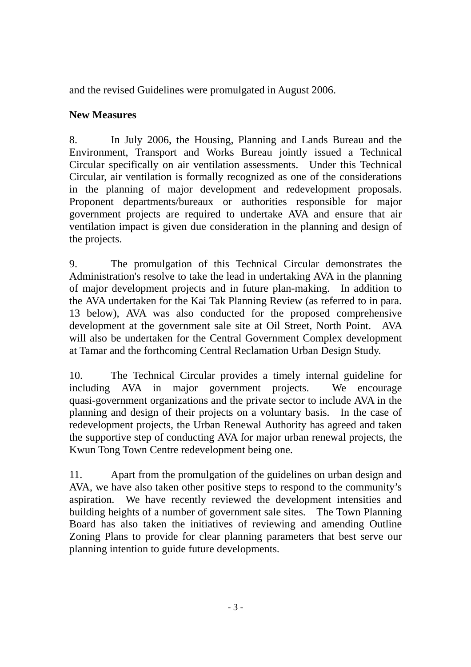and the revised Guidelines were promulgated in August 2006.

# **New Measures**

8. In July 2006, the Housing, Planning and Lands Bureau and the Environment, Transport and Works Bureau jointly issued a Technical Circular specifically on air ventilation assessments. Under this Technical Circular, air ventilation is formally recognized as one of the considerations in the planning of major development and redevelopment proposals. Proponent departments/bureaux or authorities responsible for major government projects are required to undertake AVA and ensure that air ventilation impact is given due consideration in the planning and design of the projects.

9. The promulgation of this Technical Circular demonstrates the Administration's resolve to take the lead in undertaking AVA in the planning of major development projects and in future plan-making. In addition to the AVA undertaken for the Kai Tak Planning Review (as referred to in para. 13 below), AVA was also conducted for the proposed comprehensive development at the government sale site at Oil Street, North Point. AVA will also be undertaken for the Central Government Complex development at Tamar and the forthcoming Central Reclamation Urban Design Study.

10. The Technical Circular provides a timely internal guideline for including AVA in major government projects. We encourage quasi-government organizations and the private sector to include AVA in the planning and design of their projects on a voluntary basis. In the case of redevelopment projects, the Urban Renewal Authority has agreed and taken the supportive step of conducting AVA for major urban renewal projects, the Kwun Tong Town Centre redevelopment being one.

11. Apart from the promulgation of the guidelines on urban design and AVA, we have also taken other positive steps to respond to the community's aspiration. We have recently reviewed the development intensities and building heights of a number of government sale sites. The Town Planning Board has also taken the initiatives of reviewing and amending Outline Zoning Plans to provide for clear planning parameters that best serve our planning intention to guide future developments.